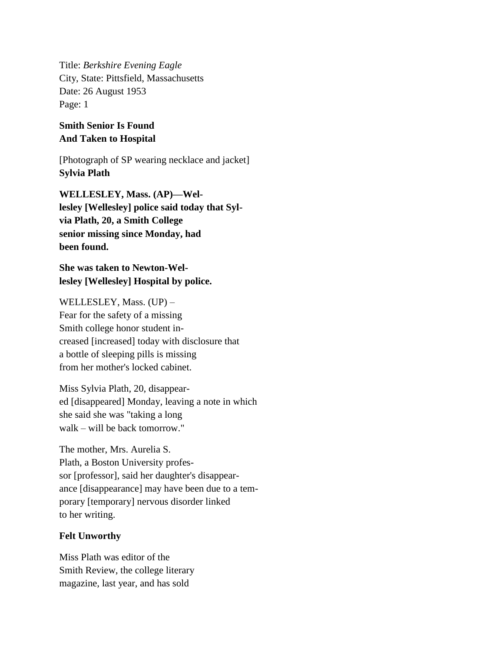Title: *Berkshire Evening Eagle* City, State: Pittsfield, Massachusetts Date: 26 August 1953 Page: 1

## **Smith Senior Is Found And Taken to Hospital**

[Photograph of SP wearing necklace and jacket] **Sylvia Plath**

**WELLESLEY, Mass. (AP)—Wellesley [Wellesley] police said today that Sylvia Plath, 20, a Smith College senior missing since Monday, had been found.**

**She was taken to Newton-Wellesley [Wellesley] Hospital by police.**

WELLESLEY, Mass. (UP) – Fear for the safety of a missing Smith college honor student increased [increased] today with disclosure that a bottle of sleeping pills is missing from her mother's locked cabinet.

Miss Sylvia Plath, 20, disappeared [disappeared] Monday, leaving a note in which she said she was "taking a long walk – will be back tomorrow."

The mother, Mrs. Aurelia S. Plath, a Boston University professor [professor], said her daughter's disappearance [disappearance] may have been due to a temporary [temporary] nervous disorder linked to her writing.

## **Felt Unworthy**

Miss Plath was editor of the Smith Review, the college literary magazine, last year, and has sold